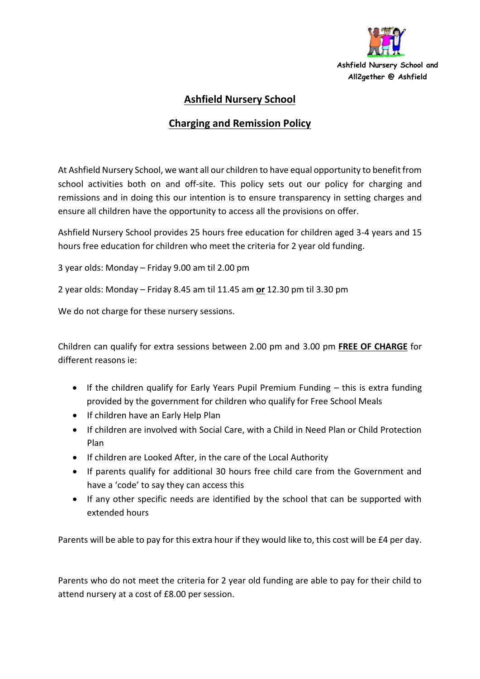

## **Ashfield Nursery School**

## **Charging and Remission Policy**

At Ashfield Nursery School, we want all our children to have equal opportunity to benefit from school activities both on and off-site. This policy sets out our policy for charging and remissions and in doing this our intention is to ensure transparency in setting charges and ensure all children have the opportunity to access all the provisions on offer.

Ashfield Nursery School provides 25 hours free education for children aged 3-4 years and 15 hours free education for children who meet the criteria for 2 year old funding.

3 year olds: Monday – Friday 9.00 am til 2.00 pm

2 year olds: Monday – Friday 8.45 am til 11.45 am **or** 12.30 pm til 3.30 pm

We do not charge for these nursery sessions.

Children can qualify for extra sessions between 2.00 pm and 3.00 pm **FREE OF CHARGE** for different reasons ie:

- If the children qualify for Early Years Pupil Premium Funding this is extra funding provided by the government for children who qualify for Free School Meals
- If children have an Early Help Plan
- If children are involved with Social Care, with a Child in Need Plan or Child Protection Plan
- If children are Looked After, in the care of the Local Authority
- If parents qualify for additional 30 hours free child care from the Government and have a 'code' to say they can access this
- If any other specific needs are identified by the school that can be supported with extended hours

Parents will be able to pay for this extra hour if they would like to, this cost will be £4 per day.

Parents who do not meet the criteria for 2 year old funding are able to pay for their child to attend nursery at a cost of £8.00 per session.